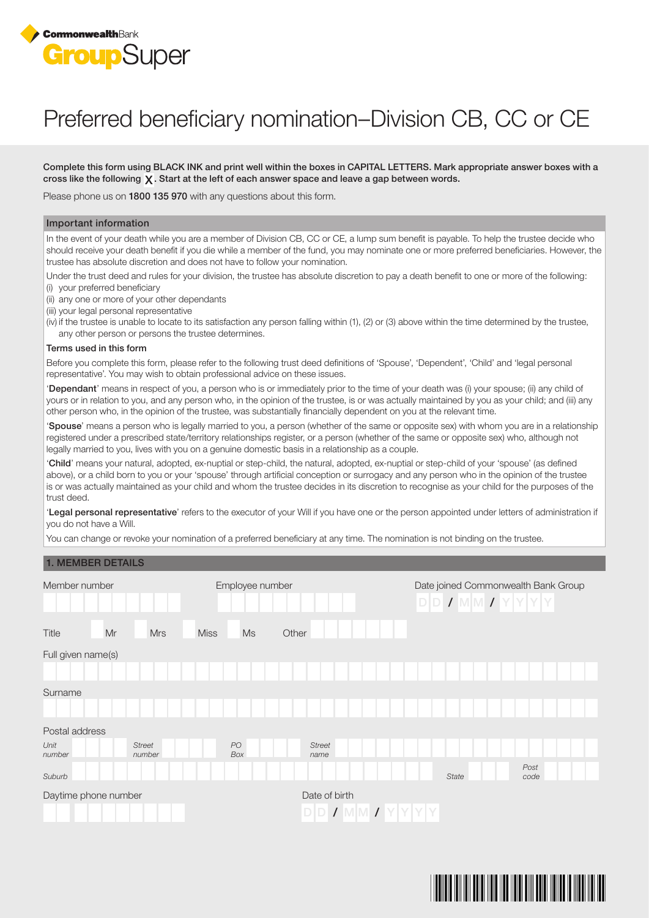

# Preferred beneficiary nomination–Division CB, CC or CE

Complete this form using BLACK INK and print well within the boxes in CAPITAL LETTERS. Mark appropriate answer boxes with a cross like the following  $\chi$ . Start at the left of each answer space and leave a gap between words.

Please phone us on 1800 135 970 with any questions about this form.

#### Important information

In the event of your death while you are a member of Division CB, CC or CE, a lump sum benefit is payable. To help the trustee decide who should receive your death benefit if you die while a member of the fund, you may nominate one or more preferred beneficiaries. However, the trustee has absolute discretion and does not have to follow your nomination.

Under the trust deed and rules for your division, the trustee has absolute discretion to pay a death benefit to one or more of the following: (i) your preferred beneficiary

(ii) any one or more of your other dependants

(iii) your legal personal representative

(iv) if the trustee is unable to locate to its satisfaction any person falling within (1), (2) or (3) above within the time determined by the trustee, any other person or persons the trustee determines.

#### Terms used in this form

Before you complete this form, please refer to the following trust deed definitions of 'Spouse', 'Dependent', 'Child' and 'legal personal representative'. You may wish to obtain professional advice on these issues.

'Dependant' means in respect of you, a person who is or immediately prior to the time of your death was (i) your spouse; (ii) any child of yours or in relation to you, and any person who, in the opinion of the trustee, is or was actually maintained by you as your child; and (iii) any other person who, in the opinion of the trustee, was substantially financially dependent on you at the relevant time.

'Spouse' means a person who is legally married to you, a person (whether of the same or opposite sex) with whom you are in a relationship registered under a prescribed state/territory relationships register, or a person (whether of the same or opposite sex) who, although not legally married to you, lives with you on a genuine domestic basis in a relationship as a couple.

'Child' means your natural, adopted, ex-nuptial or step-child, the natural, adopted, ex-nuptial or step-child of your 'spouse' (as defined above), or a child born to you or your 'spouse' through artificial conception or surrogacy and any person who in the opinion of the trustee is or was actually maintained as your child and whom the trustee decides in its discretion to recognise as your child for the purposes of the trust deed.

'Legal personal representative' refers to the executor of your Will if you have one or the person appointed under letters of administration if you do not have a Will.

You can change or revoke your nomination of a preferred beneficiary at any time. The nomination is not binding on the trustee.

### 1. MEMBER DETAILS

| Member number        |    |                         |             | Employee number |       |                         |  |  |  | Date joined Commonwealth Bank Group |  |       |  |  |  |  |              |  |  |  |
|----------------------|----|-------------------------|-------------|-----------------|-------|-------------------------|--|--|--|-------------------------------------|--|-------|--|--|--|--|--------------|--|--|--|
| Title                | Mr | <b>Mrs</b>              | <b>Miss</b> | Ms              | Other |                         |  |  |  |                                     |  |       |  |  |  |  |              |  |  |  |
| Full given name(s)   |    |                         |             |                 |       |                         |  |  |  |                                     |  |       |  |  |  |  |              |  |  |  |
|                      |    |                         |             |                 |       |                         |  |  |  |                                     |  |       |  |  |  |  |              |  |  |  |
| Surname              |    |                         |             |                 |       |                         |  |  |  |                                     |  |       |  |  |  |  |              |  |  |  |
|                      |    |                         |             |                 |       |                         |  |  |  |                                     |  |       |  |  |  |  |              |  |  |  |
| Postal address       |    |                         |             |                 |       |                         |  |  |  |                                     |  |       |  |  |  |  |              |  |  |  |
| Unit<br>number       |    | <b>Street</b><br>number |             | PO<br>Box       |       | Street<br>name          |  |  |  |                                     |  |       |  |  |  |  |              |  |  |  |
| Suburb               |    |                         |             |                 |       |                         |  |  |  |                                     |  | State |  |  |  |  | Post<br>code |  |  |  |
| Daytime phone number |    |                         |             | Date of birth   |       |                         |  |  |  |                                     |  |       |  |  |  |  |              |  |  |  |
|                      |    |                         |             |                 |       | $D$ $D$ / $M$ $M$ / $Y$ |  |  |  |                                     |  |       |  |  |  |  |              |  |  |  |